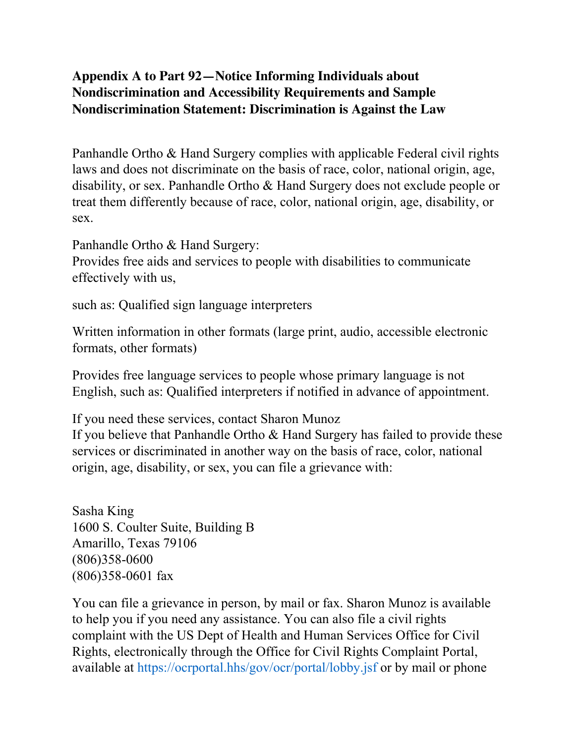## **Appendix A to Part 92—Notice Informing Individuals about Nondiscrimination and Accessibility Requirements and Sample Nondiscrimination Statement: Discrimination is Against the Law**

Panhandle Ortho & Hand Surgery complies with applicable Federal civil rights laws and does not discriminate on the basis of race, color, national origin, age, disability, or sex. Panhandle Ortho & Hand Surgery does not exclude people or treat them differently because of race, color, national origin, age, disability, or sex.

Panhandle Ortho & Hand Surgery: Provides free aids and services to people with disabilities to communicate effectively with us,

such as: Qualified sign language interpreters

Written information in other formats (large print, audio, accessible electronic formats, other formats)

Provides free language services to people whose primary language is not English, such as: Qualified interpreters if notified in advance of appointment.

If you need these services, contact Sharon Munoz

If you believe that Panhandle Ortho & Hand Surgery has failed to provide these services or discriminated in another way on the basis of race, color, national origin, age, disability, or sex, you can file a grievance with:

Sasha King 1600 S. Coulter Suite, Building B Amarillo, Texas 79106 (806)358-0600 (806)358-0601 fax

You can file a grievance in person, by mail or fax. Sharon Munoz is available to help you if you need any assistance. You can also file a civil rights complaint with the US Dept of Health and Human Services Office for Civil Rights, electronically through the Office for Civil Rights Complaint Portal, available at https://ocrportal.hhs/gov/ocr/portal/lobby.jsf or by mail or phone